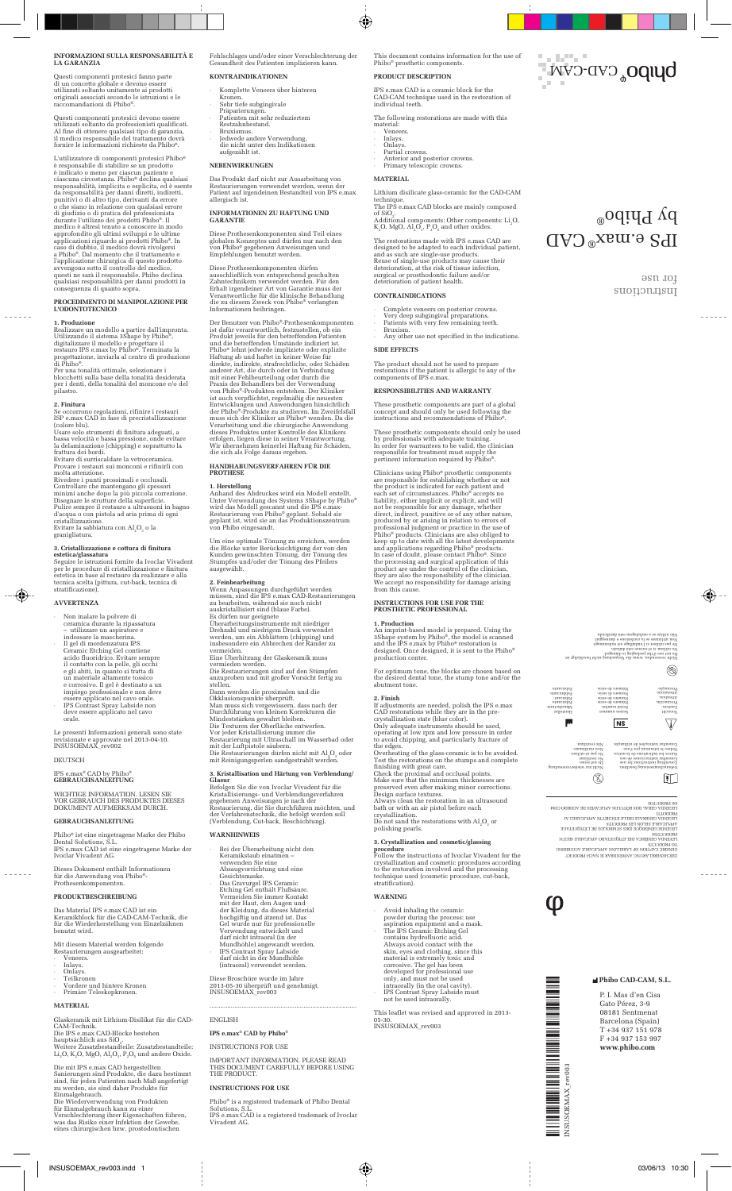### **INFORMAZIONI SULLA RESPONSABILITÀ E LA GARANZIA**

Questi componenti protesici fanno parte di un concetto globale e devono essere utilizzati soltanto unitamente ai prodotti originali associati secondo le istruzioni e le raccomandazioni di Phibo®.

Questi componenti protesici devono essere<br>utilizzati soltanto da professionisti qualificati.<br>Al fine di ottenere qualsiasi tipo di garanzia,<br>il medico responsabile del trattamento dovrà<br>fornire le informazioni richieste da

L'utilizzatore di componenti protesici Phibo®<br>è responsabile di stabilire se un prodotto<br>è indicato o meno per ciascun paziente e<br>è indicato o meno per ciascun paziente e<br>dicascuna circostanza. Phibo<sup>s</sup> declina qualsiasi<br>

## **PROCEDIMENTO DI MANIPOLAZIONE PER L'ODONTOTECNICO**

**1. Produzione**<br>Realizzare un modello a partire dall'impronta.<br>Utilizzando il sistema 3Shape by Phibo®,<br>digitalizzare il modello e progettare il<br>restauro IPS e.max by Phibo®. Terminata la

progettazione, inviarla al centro di produzione di Phibo®. Per una tonalità ottimale, selezionare i blocchetti sulla base della tonalità desiderata per i denti, della tonalità del moncone e/o del pilastro.

2. Finitura<br>Se occorrono regolazioni, rifinire i restauri<br>ISP e.max CAD in fase di precristallizzazione<br>ISP e.max CAD in fase di precristallizzazione<br>Usare solo strumenti di finitura adeguati, a<br>Usare solo strumenti di fin

molta attenzione.<br>Rivedere i punti prossimali e occlusali.<br>Controllare che mantengano gli spessori<br>minimi anche dopo la più piccola correzione.<br>Disegnare le strutture della superficie.<br>Pulire sempre i l'estaturo a ultrasun

3. Cr**istallizzazione e cottura di finitura**<br>estetica/glassatura<br>Seguire le istruzioni fornite da Ivoclar Vivadent<br>per le procedure di cristallizzazione e finitura<br>estetica in base al restauro da realizzare e alla<br>teticica

#### **AVVERTENZA**

◈

- 
- Non inalare la polvere di<br>coramica durante la ripassatura<br>– utilizzare un aspiratore e<br>il gel di mordenzatura IPS<br>Ceranic Etching Gel contiene<br>acido fluoridrico. Evitare sempre<br>il contatto con la pelle, gli occhi<br>i<br>di cont
- 
- 

Le presenti Informazioni generali sono state<br>revisionate e approvate nel 2013-04-10.<br>INSUSOEMAX\_rev002

DEUTSCH

### IPS e.max® CAD by Phibo® **GEBRAUCHSANLEITUNG**

## WICHTIGE INFORMATION. LESEN SIE VOR GEBRAUCH DES PRODUKTES DIESES DOKUMENT AUFMERKSAM DURCH.

#### **GEBRAUCHSANLEITUNG**

Phibo® ist eine eingetragene Marke der Phibo Dental Solutions, S.L. IPS e.max CAD ist eine eingetragene Marke der Ivoclar Vivadent AG.

Dieses Dokument enthält Informationen für die Anwendung von Phibo®- Prothesenkomponenten.

#### **PRODUKTBESCHREIBUNG**

Das Material IPS e.max CAD ist ein Keramikblock für die CAD-CAM-Technik, die für die Wiederherstellung von Einzelzähnen benutzt wird.

Mit diesem Material werden folgende Restaurierungen ausgearbeitet:

- 
- 
- · Veneers. · Inlays. · Onlays. · Teilkronen
- · Vordere und hintere Kronen · Primäre Teleskopkronen.

**MATERIAL**

Glaskeramik mit Lithium-Disilikat für die CAD-CAM-Technik.

Die IPS e.max CAD-Blöcke bestehen<br>hauptsächlich aus SiO<sub>2</sub>.<br>Weitere Zusatzbestandteile: Zusatzbestandteile:  $\rm Li_2O$ ,  $\rm K_2O$ ,  $\rm MgO$ ,  $\rm Al_2O_3$ ,  $\rm P_2O_5$  und andere Oxide.

Die mit IPS e.max CAD hergestellten<br>Sainerungen sind Produkte, die dazu bestimmt<br>sind, für jeden Patienten nach Maß angefertigt<br>zu werden, sie sind daher Produkte für<br>Einmalgebrauch.<br>Einmalgebrauch kamer von Produkten<br>Tür

Fehlschlages und/oder einer Verschlechterung der Gesundheit des Patienten implizieren kann. **KONTRAINDIKATIONEN**

· Komplette Veneers über hinteren

- Kronen. · Sehr tiefe subgingivale
- Präparierungen. · Patienten mit sehr reduziertem Restzahnbestand.
- · Bruxismus. · Jedwede andere Verwendung, die nicht unter den Indikationen aufgezählt ist.
- 

### **NEBENWIRKUNGEN**

Das Produkt darf nicht zur Ausarbeitung von Restaurierungen verwendet werden, wenn der Patient auf irgendeinen Bestandteil von IPS e.max allergisch ist.

**INFORMATIONEN ZU HAFTUNG UND GARANTIE**

Diese Prothesenkomponenten sind Teil eines globalen Konzeptes und dürfen nur nach den von Phibo® gegebenen Anweisungen und Empfehlungen benutzt werden.

Diese Prothesenkomponenten dürfen<br>ausschließlich von entsprechend geschulten<br>Zahntechnikern verwendet werden. Für den<br>Erhalt irgendeiner Art von Garantie muss der<br>Verantwortliche für die klinische Behandlung<br>die zu diesem

Der Benutzer von Phibo®-Prohesenkomponenten<br>Der Benutzer von Phibo®-Prohesenkomponenten<br>ist dafür verantwortlich, festzustellen, ob ein<br>Produkt jeweils für den betreffenden Patienten<br>Hibo® lehnt jedevede impliziete oder ex

### **HANDHABUNGSVERFAHREN FÜR DIE PROTHESE**

1. Herstellung<br>Anhand des Abdruckes wird ein Modell erstellt.<br>Unter Verwendung des Systems 3Shape by Phibo<sup>s</sup><br>wird das Modell gescannt und die IPS e.max-<br>Restaurierung von Phibo<sup>s</sup> geplant. Sobald sie<br>geplant ist, wird sie

Um eine optimale Tönung zu erreichen, werden die Blöcke unter Berücksichtigung der von den Kunden gewünschten Tönung, der Tönung des Stumpfes und/oder der Tönung des Pfeilers ausgewählt.

2. Feinbearbeitung<br>en Stuarten (werden Albert verden Albert verden müssen, sind die IPS e.max CAD-Restaurierungen<br>zu bearbeiten, während sie noch nicht auskritstallisiert sind (blaue Farbe).<br>Es dürfen nur gesignete<br>Überarb Dann werden die proximalen und die<br>Okklusionspunkte überprüft.<br>Man muss sich vergewissern, dass nach der<br>Dann muss sich vergewissern, dass nach der<br>Durchführung von kleinen Korrekturen die<br>Die Texturen der Oberfläche entwe

3. Kristallisation und Härtung von Verblendung/<br>Glasur<br>Befolgen Sie die von Ivoclar Vivadent für die<br>Kristallisierungs- und Verblendungsverfahren<br>gegebenen Anweisungen je nach der<br>Restaurierung, die Sie durchführen möchten

#### **WARNHINWEIS**

- · Bei der Überarbeitung nicht den Keramikstaub einatmen verwenden Sie eine Absaugvorrichtung und eine
- Gesichtsmaske.<br>Gesichtsmaske.<br>Das Gravurgel IPS Ceramic<br>Uermeiden Sie immer Kontakt<br>Vermeiden Sie immer Kontakt<br>der Haut, den Augen und<br>der Kleidung, da dieses Material<br>Cel wurde nur für professionelle<br>Verwendung entwickel
- 
- 

Diese Broschüre wurde im Jahre 2013-05-30 überprüft und genehmigt. INSUSOEMAX\_rev003

#### ENGLISH

**IPS e.max® CAD by Phibo®**

#### INSTRUCTIONS FOR USE

#### IMPORTANT INFORMATION. PLEASE READ THIS DOCUMENT CAREFULLY BEFORE USING THE PRODUCT

...................................................................................

#### **INSTRUCTIONS FOR USE**

Phibo® is a registered trademark of Phibo Dental Solutions, S.L. IPS e.max CAD is a registered trademark of Ivoclar Vivadent AG. This document contains information for the use of Phibo® prosthetic components.

**DUDO**<sub>®</sub>CAD-CAM

 $\mathcal{L}_\infty(\mathcal{L}_\infty)$ 

IPS e.max CAD ®

suomansup for use

**Phibo CAD-CAM, S.L.**  P. I. Mas d'en Cisa Gato Pérez, 3-9 08181 Sentmenat Barcelona (Spain) T +34 937 151 978 F +34 937 153 997 **www.phibo.com**

TEAENDY CENERICY DET ELIÓNELVDO VIJTICVBITE EECIN<br>LO BADIOLOGICA<br>SENERIC CVALION OF L'VEETTING VIJTICVBITE VCCORDING<br>SEICHENERKLYENING VNMENIDEVE JE NVCH I-BODINAL PECEMDV CEMENVTE DETTE ELICHELLE VANITOVBITI VI<br>VANTICABLE GENERALE SANDOLES) DE FIELIÓNEAVCE<br>FICENCIAS<br>ARODOCLOS SODILIOS<br>FECENDIA GERAL DOS RÓTULOS APLICÁVEIS DE ACORDO COM<br>PRODUTTI

Nicht zur wiederverwendung. Do not reuse. No reutilizar. Ne pas ré-utiliser . Non riutilizzare . Não reutilizar.

 $\circledcirc$ 

INSUSOEMAX\_rev003

III I III III IIIII III<br>disusoemax\_p ≣ ≣

Hersteller. Manufacturer. Fabricante. Fabricant. Fabbricante. Fabricante.

 $\overline{\phi}$ 

I

i<br>I

**THE REPORT** 

Nicht verwenden, wenn die Verpackung nicht beschädigt ist. Do not use if the packaging is damaged. No utilizar si el envase está dañado. Ne pas utiliser si l'emballage est endommagé. Non utilizzare se la confezione è danneggiat. Não utilize se a embalagem está danificada.

> Serien nummer. Serial number. Número de serie. Numéro de série. Numero di serie. Número de série.

> > $N<sub>S</sub>$

Gebrauchsanweisung beachten. Consulting instructions for use. Consultar instrucciones de uso. Suivre les indications de la notice. Vedere le istruzioni per l'uso. Consultar instruções de utilização.

Vorsicht. Caution. Precaución. Attention. Attenzione. Precaução.

 $\overline{\mathbb{V}}$ 

 $\mathbb{I}$ 

 $^{\circledR}$ 

 $\bigoplus$  -

 $\delta$  by polo

#### **PRODUCT DESCRIPTION**

IPS e.max CAD is a ceramic block for the CAD-CAM technique used in the restoration of individual teeth.

The following restorations are made with this

- material: · Veneers. · Inlays. · Onlays. · Partial crowns.
- 

 $\bigcirc$ 

· Anterior and posterior crowns. · Primary telescopic crowns.

#### **MATERIAL**

# Lithium disilicate glass-ceramic for the CAD-CAM

technique.<br>The IPS e.max CAD blocks are mainly composed<br>of SiO<sub>3</sub>.<br>Additional components: Other components: Li<sub>2</sub>O,<br>K<sub>2</sub>O, MgO, Al<sub>2</sub>O<sub>3</sub>, P<sub>2</sub>O<sub>3</sub> and other oxides.

The restorations made with IPS e.max CAD are<br>designed to be adapted to each individual patient,<br>and as such are single-use products.<br>Reuse of single-use products may cause their<br>deterioration, at the risk of tissue infect

### **CONTRAINDICATIONS**

- 
- 
- · Complete veneers on posterior crowns. · Very deep subgingival preparations. · Patients with very few remaining teeth. · Bruxism. · Any other use not specified in the indications.
- **SIDE EFFECTS**

The product should not be used to prepare restorations if the patient is allergic to any of the components of IPS e.max.

#### **RESPONSIBILITIES AND WARRANTY**

These prosthetic components are part of a global concept and should only be used following the instructions and recommendations of Phibo®.

These prosthetic components should only be used<br>by professionals with adequate training.<br>In order for warrantees to be valid, the clinician<br>responsible for treatment must supply the<br>pertinent information required by Phibo®

Clinicians using Phibo<sup>9</sup> prosthetic components<br>care responsible for establishing whether or not<br>the product is indicated for each patient and<br>acade set of circumstances. Phibo<sup>8</sup> accepts no<br>liability, either implicit or

## **INSTRUCTIONS FOR USE FOR THE PROSTHETIC PROFESSIONAL**

**1. Production**<br>An imprint-based model is prepared. Using the<br>An imprint-based model is scanned<br>and the IPS e.max by Phibo® restoration is<br>designed. Once designed, it is sent to the Phibo®<br>production center.

For optimum tone, the blocks are chosen based on the desired dental tone, the stump tone and/or the abutment tone.

2. Finish<br>ments are needed, polish the IPS e.max<br>If adjustments are needed, polish the IPS e.max<br>CAD restorations state (blue color).<br>Only adequate instruments should be used,<br>operating at low rpm and low pressure in orde

3. Crystallization and cosmetic/glassing<br>procedure<br>Follow the instructions of Ivoclar Vivadent for the<br>rcystallization and cosmetic procedures according<br>to the restoration involved and the processing<br>technique used (cosmet

Avoid inhaling the ceramic<br>powder during the process: use<br>aspiration equipment and a mask.<br>The IPS Ceramic Etching Gell<br>contains hydrofluoric acid.<br>Always avoid contact with the<br>skin, eyes and clothing, since this<br>metrica

05-30. INSUSOEMAX\_rev003

 $\bigoplus$  INSUSOEMAX\_rev003.indd 1 0:30

 $\mu$  is leaflet was revised and approved in 2013-

**WARNING**